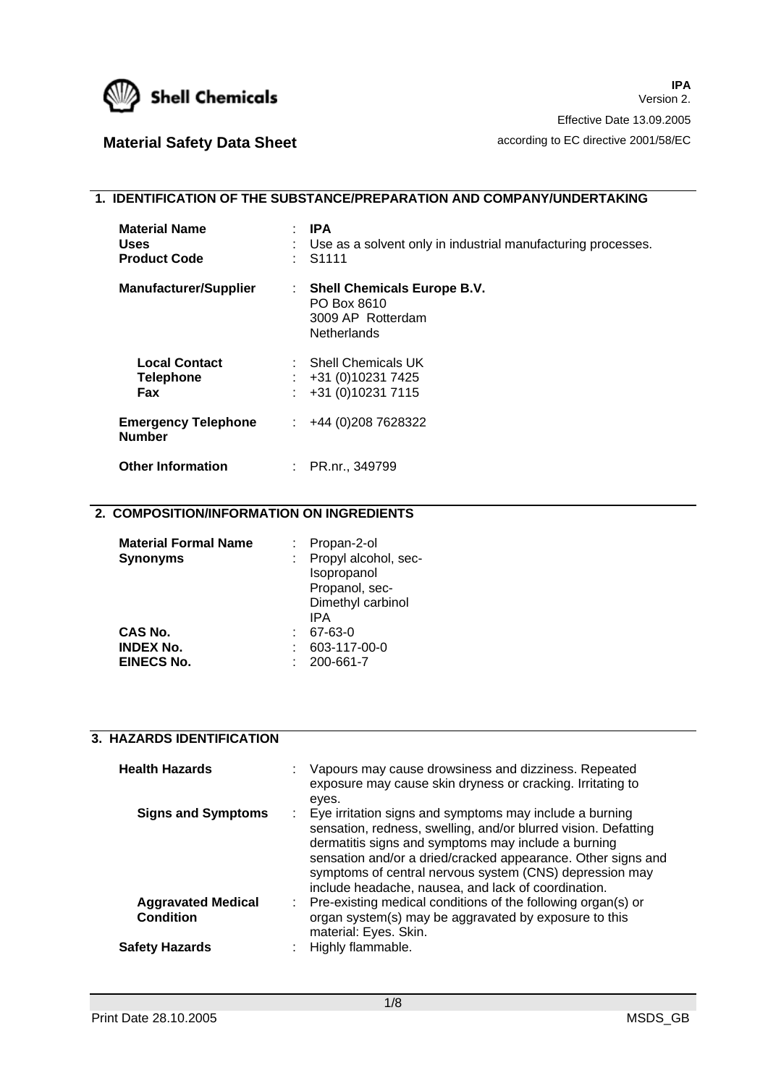

# **Material Safety Data Sheet according to EC directive 2001/58/EC**

# **1. IDENTIFICATION OF THE SUBSTANCE/PREPARATION AND COMPANY/UNDERTAKING**

| <b>Material Name</b><br><b>Uses</b><br><b>Product Code</b> | $\mathsf{I}$ IPA<br>Use as a solvent only in industrial manufacturing processes.<br>$\therefore$ S1111 |
|------------------------------------------------------------|--------------------------------------------------------------------------------------------------------|
| <b>Manufacturer/Supplier</b>                               | <b>Shell Chemicals Europe B.V.</b><br>÷<br>PO Box 8610<br>3009 AP Rotterdam<br><b>Netherlands</b>      |
| <b>Local Contact</b><br><b>Telephone</b><br><b>Fax</b>     | $\therefore$ Shell Chemicals UK<br>$\div$ +31 (0)10231 7425<br>+31 (0) 10231 7115                      |
| <b>Emergency Telephone</b><br><b>Number</b>                | $\div$ +44 (0) 208 7628322                                                                             |
| <b>Other Information</b>                                   | : PR.nr., 349799                                                                                       |

## **2. COMPOSITION/INFORMATION ON INGREDIENTS**

| <b>Material Formal Name</b> | : Propan-2-ol        |
|-----------------------------|----------------------|
| <b>Synonyms</b>             | Propyl alcohol, sec- |
|                             | Isopropanol          |
|                             | Propanol, sec-       |
|                             | Dimethyl carbinol    |
|                             | IPA                  |
| <b>CAS No.</b>              | 67-63-0              |
| <b>INDEX No.</b>            | 603-117-00-0         |
| <b>EINECS No.</b>           | 200-661-7            |
|                             |                      |

#### **3. HAZARDS IDENTIFICATION**

| <b>Health Hazards</b>                         |    | Vapours may cause drowsiness and dizziness. Repeated<br>exposure may cause skin dryness or cracking. Irritating to<br>eyes.                                                                                                                                                                                                                                          |
|-----------------------------------------------|----|----------------------------------------------------------------------------------------------------------------------------------------------------------------------------------------------------------------------------------------------------------------------------------------------------------------------------------------------------------------------|
| <b>Signs and Symptoms</b>                     |    | : Eye irritation signs and symptoms may include a burning<br>sensation, redness, swelling, and/or blurred vision. Defatting<br>dermatitis signs and symptoms may include a burning<br>sensation and/or a dried/cracked appearance. Other signs and<br>symptoms of central nervous system (CNS) depression may<br>include headache, nausea, and lack of coordination. |
| <b>Aggravated Medical</b><br><b>Condition</b> | ÷. | Pre-existing medical conditions of the following organ(s) or<br>organ system(s) may be aggravated by exposure to this<br>material: Eyes. Skin.                                                                                                                                                                                                                       |
| <b>Safety Hazards</b>                         |    | Highly flammable.                                                                                                                                                                                                                                                                                                                                                    |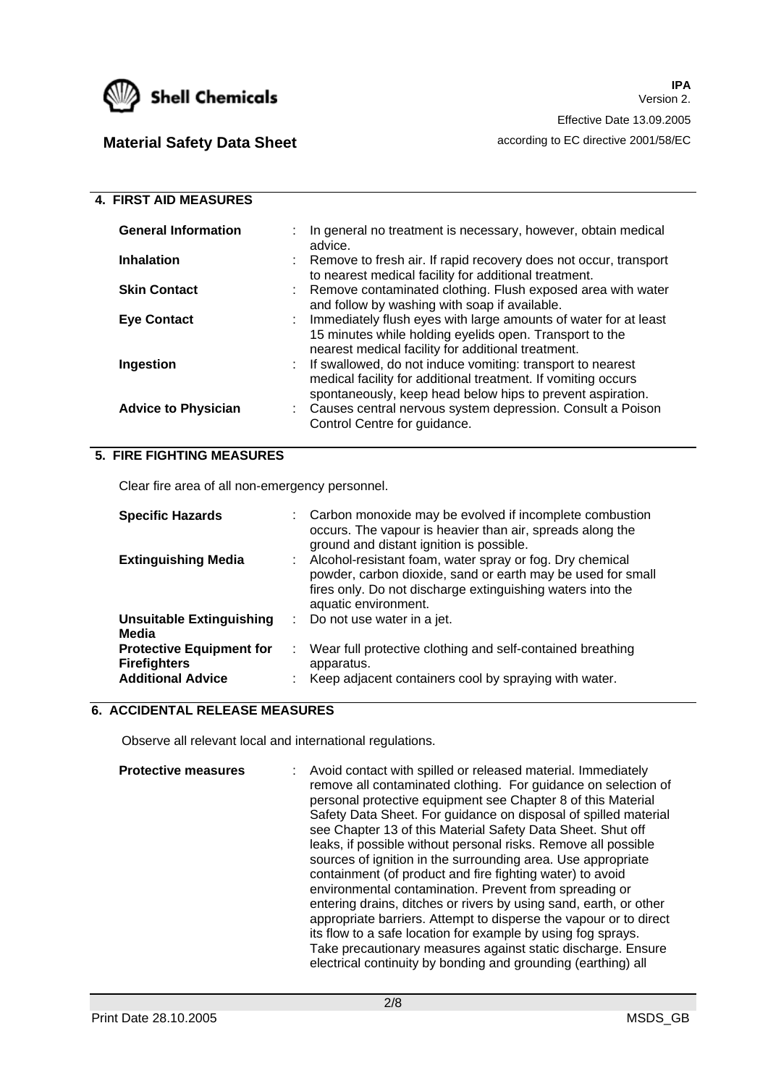

 **4. FIRST AID MEASURES** 

# **Material Safety Data Sheet according to EC directive 2001/58/EC**

| <b>4. IINOI AID MLAJUNLJ</b> |                                                                                                                                                                                             |
|------------------------------|---------------------------------------------------------------------------------------------------------------------------------------------------------------------------------------------|
| <b>General Information</b>   | In general no treatment is necessary, however, obtain medical<br>advice.                                                                                                                    |
| <b>Inhalation</b>            | : Remove to fresh air. If rapid recovery does not occur, transport<br>to nearest medical facility for additional treatment.                                                                 |
| <b>Skin Contact</b>          | : Remove contaminated clothing. Flush exposed area with water<br>and follow by washing with soap if available.                                                                              |
| <b>Eve Contact</b>           | : Immediately flush eyes with large amounts of water for at least<br>15 minutes while holding eyelids open. Transport to the<br>nearest medical facility for additional treatment.          |
| Ingestion                    | : If swallowed, do not induce vomiting: transport to nearest<br>medical facility for additional treatment. If vomiting occurs<br>spontaneously, keep head below hips to prevent aspiration. |
| <b>Advice to Physician</b>   | : Causes central nervous system depression. Consult a Poison<br>Control Centre for guidance.                                                                                                |

## **5. FIRE FIGHTING MEASURES**

Clear fire area of all non-emergency personnel.

| <b>Specific Hazards</b>                                                            |   | Carbon monoxide may be evolved if incomplete combustion<br>occurs. The vapour is heavier than air, spreads along the<br>ground and distant ignition is possible.                                              |
|------------------------------------------------------------------------------------|---|---------------------------------------------------------------------------------------------------------------------------------------------------------------------------------------------------------------|
| <b>Extinguishing Media</b>                                                         |   | Alcohol-resistant foam, water spray or fog. Dry chemical<br>powder, carbon dioxide, sand or earth may be used for small<br>fires only. Do not discharge extinguishing waters into the<br>aquatic environment. |
| <b>Unsuitable Extinguishing</b><br>Media                                           | ÷ | Do not use water in a jet.                                                                                                                                                                                    |
| <b>Protective Equipment for</b><br><b>Firefighters</b><br><b>Additional Advice</b> | ÷ | Wear full protective clothing and self-contained breathing<br>apparatus.<br>Keep adjacent containers cool by spraying with water.                                                                             |

## **6. ACCIDENTAL RELEASE MEASURES**

Observe all relevant local and international regulations.

**Protective measures** : Avoid contact with spilled or released material. Immediately remove all contaminated clothing. For guidance on selection of personal protective equipment see Chapter 8 of this Material Safety Data Sheet. For quidance on disposal of spilled material see Chapter 13 of this Material Safety Data Sheet. Shut off leaks, if possible without personal risks. Remove all possible sources of ignition in the surrounding area. Use appropriate containment (of product and fire fighting water) to avoid environmental contamination. Prevent from spreading or entering drains, ditches or rivers by using sand, earth, or other appropriate barriers. Attempt to disperse the vapour or to direct its flow to a safe location for example by using fog sprays. Take precautionary measures against static discharge. Ensure electrical continuity by bonding and grounding (earthing) all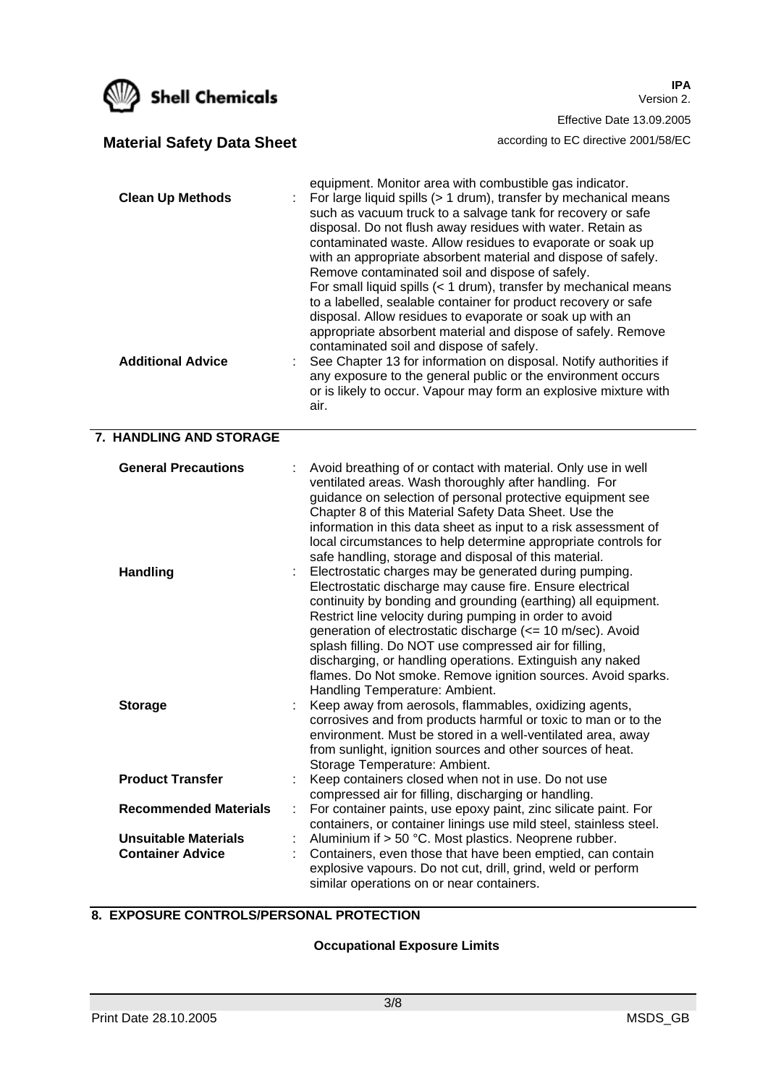

**IPA** Version 2. Effective Date 13.09.2005 **Material Safety Data Sheet according to EC directive 2001/58/EC** 

equipment. Monitor area with combustible gas indicator.

such as vacuum truck to a salvage tank for recovery or safe

**Clean Up Methods** : For large liquid spills (> 1 drum), transfer by mechanical means

| <b>Additional Advice</b>                               | disposal. Do not flush away residues with water. Retain as<br>contaminated waste. Allow residues to evaporate or soak up<br>with an appropriate absorbent material and dispose of safely.<br>Remove contaminated soil and dispose of safely.<br>For small liquid spills $(1 drum), transfer by mechanical meansto a labelled, sealable container for product recovery or safedisposal. Allow residues to evaporate or soak up with anappropriate absorbent material and dispose of safely. Removecontaminated soil and dispose of safely.See Chapter 13 for information on disposal. Notify authorities ifany exposure to the general public or the environment occursor is likely to occur. Vapour may form an explosive mixture withair.$ |
|--------------------------------------------------------|---------------------------------------------------------------------------------------------------------------------------------------------------------------------------------------------------------------------------------------------------------------------------------------------------------------------------------------------------------------------------------------------------------------------------------------------------------------------------------------------------------------------------------------------------------------------------------------------------------------------------------------------------------------------------------------------------------------------------------------------|
| 7. HANDLING AND STORAGE                                |                                                                                                                                                                                                                                                                                                                                                                                                                                                                                                                                                                                                                                                                                                                                             |
| <b>General Precautions</b>                             | Avoid breathing of or contact with material. Only use in well<br>ventilated areas. Wash thoroughly after handling. For<br>guidance on selection of personal protective equipment see<br>Chapter 8 of this Material Safety Data Sheet. Use the<br>information in this data sheet as input to a risk assessment of<br>local circumstances to help determine appropriate controls for<br>safe handling, storage and disposal of this material.                                                                                                                                                                                                                                                                                                 |
| <b>Handling</b>                                        | Electrostatic charges may be generated during pumping.<br>Electrostatic discharge may cause fire. Ensure electrical<br>continuity by bonding and grounding (earthing) all equipment.<br>Restrict line velocity during pumping in order to avoid<br>generation of electrostatic discharge (<= 10 m/sec). Avoid<br>splash filling. Do NOT use compressed air for filling,<br>discharging, or handling operations. Extinguish any naked<br>flames. Do Not smoke. Remove ignition sources. Avoid sparks.<br>Handling Temperature: Ambient.                                                                                                                                                                                                      |
| <b>Storage</b>                                         | Keep away from aerosols, flammables, oxidizing agents,<br>corrosives and from products harmful or toxic to man or to the<br>environment. Must be stored in a well-ventilated area, away<br>from sunlight, ignition sources and other sources of heat.<br>Storage Temperature: Ambient.                                                                                                                                                                                                                                                                                                                                                                                                                                                      |
| <b>Product Transfer</b>                                | Keep containers closed when not in use. Do not use<br>compressed air for filling, discharging or handling.                                                                                                                                                                                                                                                                                                                                                                                                                                                                                                                                                                                                                                  |
| <b>Recommended Materials</b>                           | For container paints, use epoxy paint, zinc silicate paint. For                                                                                                                                                                                                                                                                                                                                                                                                                                                                                                                                                                                                                                                                             |
| <b>Unsuitable Materials</b><br><b>Container Advice</b> | containers, or container linings use mild steel, stainless steel.<br>Aluminium if > 50 °C. Most plastics. Neoprene rubber.<br>Containers, even those that have been emptied, can contain<br>explosive vapours. Do not cut, drill, grind, weld or perform<br>similar operations on or near containers.                                                                                                                                                                                                                                                                                                                                                                                                                                       |
|                                                        |                                                                                                                                                                                                                                                                                                                                                                                                                                                                                                                                                                                                                                                                                                                                             |

# **8. EXPOSURE CONTROLS/PERSONAL PROTECTION**

### **Occupational Exposure Limits**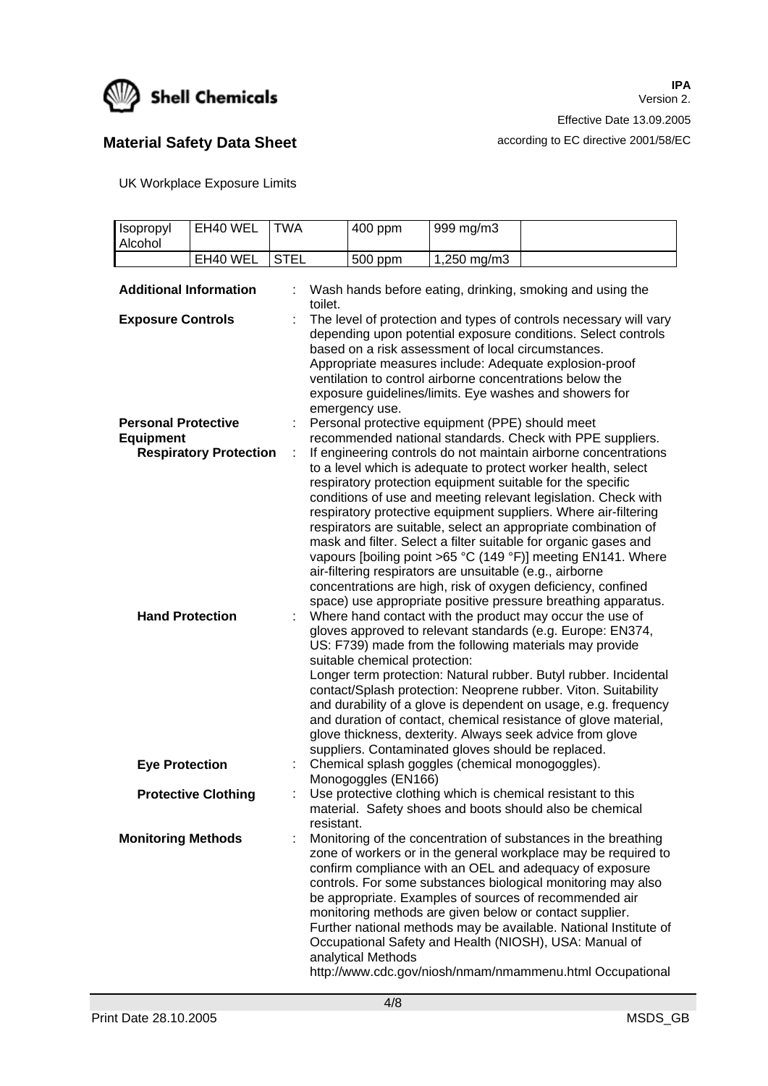

# **Material Safety Data Sheet according to EC directive 2001/58/EC**

UK Workplace Exposure Limits

| Isopropyl<br>Alcohol          | EH40 WEL                      | <b>TWA</b>  | 400 ppm                       | 999 mg/m3                                                |                                                                                                                                                                                                                                                                                                                                                                                                                                                                                                                                                                                                                                                                                                                                       |
|-------------------------------|-------------------------------|-------------|-------------------------------|----------------------------------------------------------|---------------------------------------------------------------------------------------------------------------------------------------------------------------------------------------------------------------------------------------------------------------------------------------------------------------------------------------------------------------------------------------------------------------------------------------------------------------------------------------------------------------------------------------------------------------------------------------------------------------------------------------------------------------------------------------------------------------------------------------|
|                               | EH40 WEL                      | <b>STEL</b> | 500 ppm                       | 1,250 mg/m3                                              |                                                                                                                                                                                                                                                                                                                                                                                                                                                                                                                                                                                                                                                                                                                                       |
|                               |                               |             |                               |                                                          |                                                                                                                                                                                                                                                                                                                                                                                                                                                                                                                                                                                                                                                                                                                                       |
| <b>Additional Information</b> |                               | toilet.     |                               |                                                          | Wash hands before eating, drinking, smoking and using the                                                                                                                                                                                                                                                                                                                                                                                                                                                                                                                                                                                                                                                                             |
| <b>Exposure Controls</b>      |                               |             |                               |                                                          | The level of protection and types of controls necessary will vary                                                                                                                                                                                                                                                                                                                                                                                                                                                                                                                                                                                                                                                                     |
|                               |                               |             | emergency use.                | based on a risk assessment of local circumstances.       | depending upon potential exposure conditions. Select controls<br>Appropriate measures include: Adequate explosion-proof<br>ventilation to control airborne concentrations below the<br>exposure guidelines/limits. Eye washes and showers for                                                                                                                                                                                                                                                                                                                                                                                                                                                                                         |
| <b>Personal Protective</b>    |                               | t.          |                               | Personal protective equipment (PPE) should meet          |                                                                                                                                                                                                                                                                                                                                                                                                                                                                                                                                                                                                                                                                                                                                       |
| <b>Equipment</b>              |                               |             |                               |                                                          | recommended national standards. Check with PPE suppliers.                                                                                                                                                                                                                                                                                                                                                                                                                                                                                                                                                                                                                                                                             |
| <b>Hand Protection</b>        | <b>Respiratory Protection</b> | ÷.<br>t.    |                               | air-filtering respirators are unsuitable (e.g., airborne | If engineering controls do not maintain airborne concentrations<br>to a level which is adequate to protect worker health, select<br>respiratory protection equipment suitable for the specific<br>conditions of use and meeting relevant legislation. Check with<br>respiratory protective equipment suppliers. Where air-filtering<br>respirators are suitable, select an appropriate combination of<br>mask and filter. Select a filter suitable for organic gases and<br>vapours [boiling point >65 °C (149 °F)] meeting EN141. Where<br>concentrations are high, risk of oxygen deficiency, confined<br>space) use appropriate positive pressure breathing apparatus.<br>Where hand contact with the product may occur the use of |
|                               |                               |             | suitable chemical protection: | suppliers. Contaminated gloves should be replaced.       | gloves approved to relevant standards (e.g. Europe: EN374,<br>US: F739) made from the following materials may provide<br>Longer term protection: Natural rubber. Butyl rubber. Incidental<br>contact/Splash protection: Neoprene rubber. Viton. Suitability<br>and durability of a glove is dependent on usage, e.g. frequency<br>and duration of contact, chemical resistance of glove material,<br>glove thickness, dexterity. Always seek advice from glove                                                                                                                                                                                                                                                                        |
| <b>Eye Protection</b>         |                               |             | Monogoggles (EN166)           | Chemical splash goggles (chemical monogoggles).          |                                                                                                                                                                                                                                                                                                                                                                                                                                                                                                                                                                                                                                                                                                                                       |
|                               | <b>Protective Clothing</b>    | resistant.  |                               |                                                          | Use protective clothing which is chemical resistant to this<br>material. Safety shoes and boots should also be chemical                                                                                                                                                                                                                                                                                                                                                                                                                                                                                                                                                                                                               |
| <b>Monitoring Methods</b>     |                               |             | analytical Methods            |                                                          | Monitoring of the concentration of substances in the breathing<br>zone of workers or in the general workplace may be required to<br>confirm compliance with an OEL and adequacy of exposure<br>controls. For some substances biological monitoring may also<br>be appropriate. Examples of sources of recommended air<br>monitoring methods are given below or contact supplier.<br>Further national methods may be available. National Institute of<br>Occupational Safety and Health (NIOSH), USA: Manual of<br>http://www.cdc.gov/niosh/nmam/nmammenu.html Occupational                                                                                                                                                            |

http://www.cdc.gov/niosh/nmam/nmammenu.html Occupational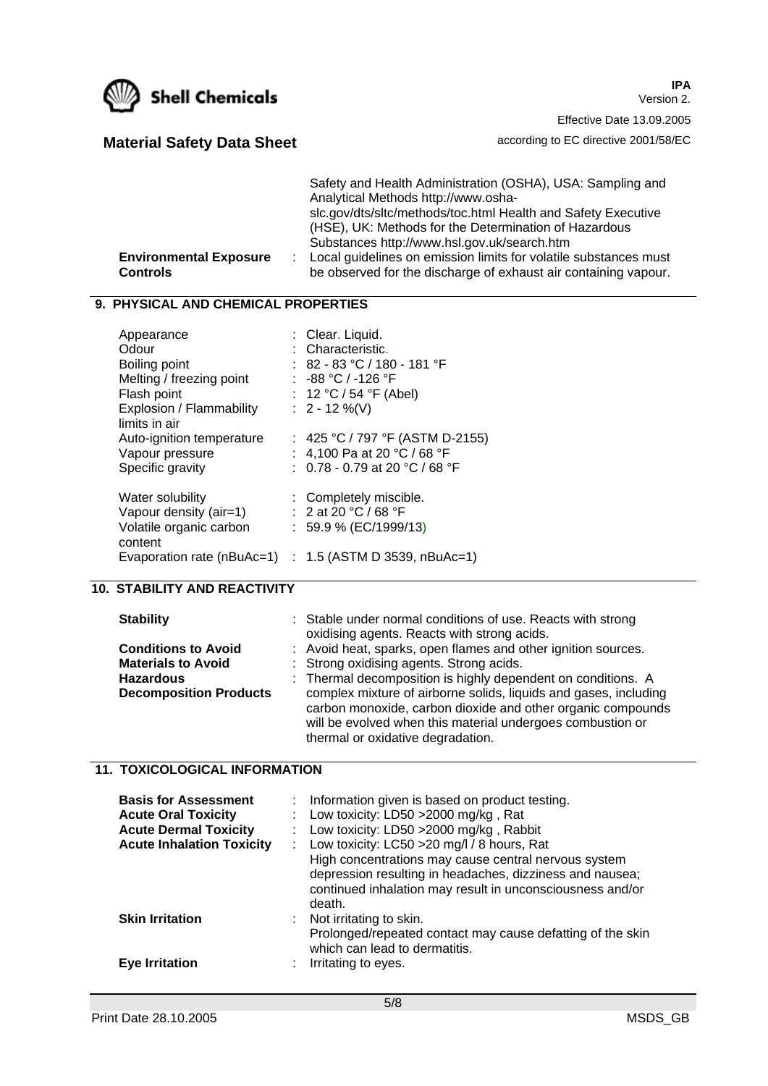

**IPA** Version 2. Effective Date 13.09.2005

# **Material Safety Data Sheet according to EC directive 2001/58/EC**

| <b>Environmental Exposure</b><br>Controls | Safety and Health Administration (OSHA), USA: Sampling and<br>Analytical Methods http://www.osha-<br>slc.gov/dts/sltc/methods/toc.html Health and Safety Executive<br>(HSE), UK: Methods for the Determination of Hazardous<br>Substances http://www.hsl.gov.uk/search.htm<br>: Local guidelines on emission limits for volatile substances must<br>be observed for the discharge of exhaust air containing vapour. |
|-------------------------------------------|---------------------------------------------------------------------------------------------------------------------------------------------------------------------------------------------------------------------------------------------------------------------------------------------------------------------------------------------------------------------------------------------------------------------|
|                                           |                                                                                                                                                                                                                                                                                                                                                                                                                     |

#### **9. PHYSICAL AND CHEMICAL PROPERTIES**

| Appearance                 | : Clear. Liquid.                      |
|----------------------------|---------------------------------------|
| Odour                      | : Characteristic.                     |
| Boiling point              | $: 82$ - 83 °C / 180 - 181 °F         |
| Melting / freezing point   | : -88 °C / -126 °F                    |
| Flash point                | : 12 °C / 54 °F (Abel)                |
| Explosion / Flammability   | : $2 - 12 \%$ (V)                     |
| limits in air              |                                       |
| Auto-ignition temperature  | : 425 °C / 797 °F (ASTM D-2155)       |
| Vapour pressure            | : $\,$ 4,100 Pa at 20 °C / 68 °F $\,$ |
| Specific gravity           | : $0.78 - 0.79$ at 20 °C / 68 °F      |
|                            |                                       |
| Water solubility           | : Completely miscible.                |
| Vapour density (air=1)     | : 2 at 20 °C / 68 °F                  |
| Volatile organic carbon    | $: 59.9 \% (EC/1999/13)$              |
| content                    |                                       |
| Evaporation rate (nBuAc=1) | : $1.5$ (ASTM D 3539, nBuAc=1)        |
|                            |                                       |

## **10. STABILITY AND REACTIVITY**

### **Stability** : Stable under normal conditions of use. Reacts with strong

|                               | oxidising agents. Reacts with strong acids.                                                                                                                                                                                        |
|-------------------------------|------------------------------------------------------------------------------------------------------------------------------------------------------------------------------------------------------------------------------------|
| <b>Conditions to Avoid</b>    | : Avoid heat, sparks, open flames and other ignition sources.                                                                                                                                                                      |
| <b>Materials to Avoid</b>     | : Strong oxidising agents. Strong acids.                                                                                                                                                                                           |
| <b>Hazardous</b>              | : Thermal decomposition is highly dependent on conditions. A                                                                                                                                                                       |
| <b>Decomposition Products</b> | complex mixture of airborne solids, liquids and gases, including<br>carbon monoxide, carbon dioxide and other organic compounds<br>will be evolved when this material undergoes combustion or<br>thermal or oxidative degradation. |

## **11. TOXICOLOGICAL INFORMATION**

| <b>Basis for Assessment</b><br><b>Acute Oral Toxicity</b><br><b>Acute Dermal Toxicity</b><br><b>Acute Inhalation Toxicity</b> | : Information given is based on product testing.<br>: Low toxicity: LD50 $>$ 2000 mg/kg, Rat<br>: Low toxicity: LD50 $>$ 2000 mg/kg, Rabbit<br>: Low toxicity: $LC50 > 20$ mg/l / 8 hours, Rat<br>High concentrations may cause central nervous system<br>depression resulting in headaches, dizziness and nausea;<br>continued inhalation may result in unconsciousness and/or |
|-------------------------------------------------------------------------------------------------------------------------------|---------------------------------------------------------------------------------------------------------------------------------------------------------------------------------------------------------------------------------------------------------------------------------------------------------------------------------------------------------------------------------|
| <b>Skin Irritation</b><br><b>Eve Irritation</b>                                                                               | death.<br>$:$ Not irritating to skin.<br>Prolonged/repeated contact may cause defatting of the skin<br>which can lead to dermatitis.<br>Irritating to eyes.                                                                                                                                                                                                                     |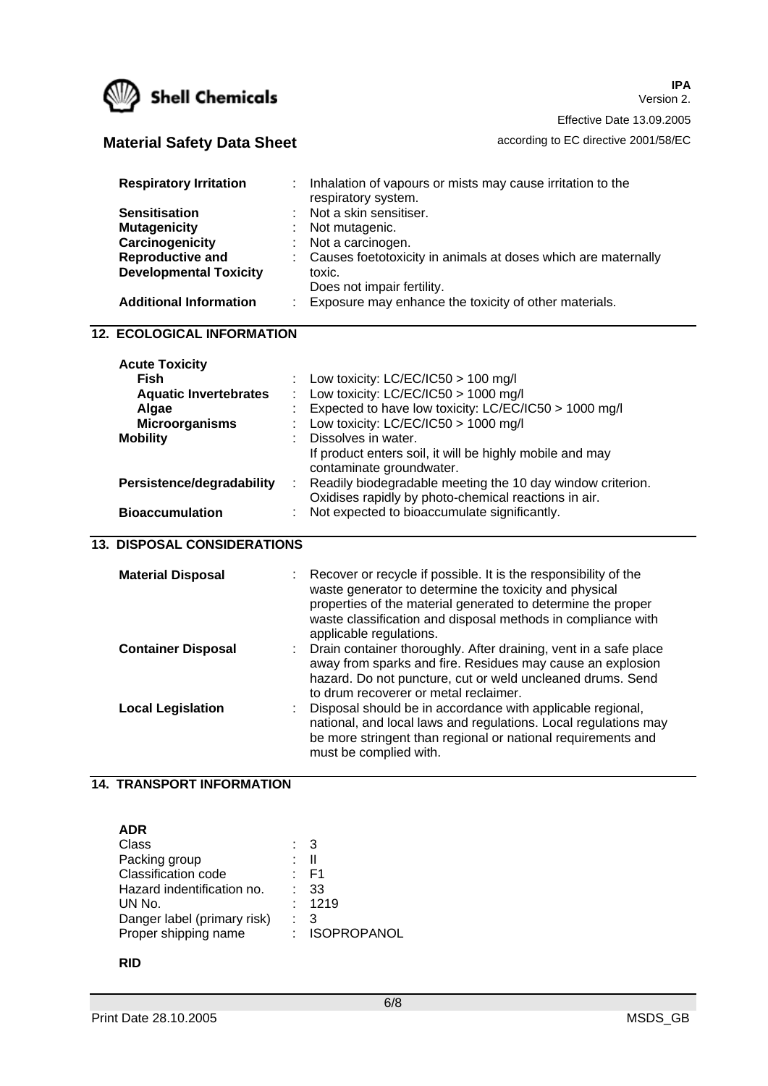

**IPA** Version 2.

Effective Date 13.09.2005

# **Material Safety Data Sheet according to EC directive 2001/58/EC**

| <b>Respiratory Irritation</b><br><b>Sensitisation</b><br><b>Mutagenicity</b><br>Carcinogenicity<br><b>Reproductive and</b><br><b>Developmental Toxicity</b><br><b>Additional Information</b><br><b>12. ECOLOGICAL INFORMATION</b> | Inhalation of vapours or mists may cause irritation to the<br>respiratory system.<br>Not a skin sensitiser.<br>Not mutagenic.<br>Not a carcinogen.<br>Causes foetotoxicity in animals at doses which are maternally<br>toxic.<br>Does not impair fertility.<br>Exposure may enhance the toxicity of other materials. |
|-----------------------------------------------------------------------------------------------------------------------------------------------------------------------------------------------------------------------------------|----------------------------------------------------------------------------------------------------------------------------------------------------------------------------------------------------------------------------------------------------------------------------------------------------------------------|
|                                                                                                                                                                                                                                   |                                                                                                                                                                                                                                                                                                                      |
| <b>Acute Toxicity</b>                                                                                                                                                                                                             |                                                                                                                                                                                                                                                                                                                      |
| <b>Fish</b>                                                                                                                                                                                                                       | Low toxicity: $LC/EC/IC50 > 100$ mg/l                                                                                                                                                                                                                                                                                |
| <b>Aquatic Invertebrates</b>                                                                                                                                                                                                      | Low toxicity: $LC/EC/IC50 > 1000$ mg/l                                                                                                                                                                                                                                                                               |
| Algae                                                                                                                                                                                                                             | Expected to have low toxicity: LC/EC/IC50 > 1000 mg/l                                                                                                                                                                                                                                                                |
| <b>Microorganisms</b>                                                                                                                                                                                                             | Low toxicity: LC/EC/IC50 > 1000 mg/l                                                                                                                                                                                                                                                                                 |
| <b>Mobility</b>                                                                                                                                                                                                                   | Dissolves in water.                                                                                                                                                                                                                                                                                                  |
|                                                                                                                                                                                                                                   | If product enters soil, it will be highly mobile and may                                                                                                                                                                                                                                                             |
|                                                                                                                                                                                                                                   | contaminate groundwater.<br>Readily biodegradable meeting the 10 day window criterion.                                                                                                                                                                                                                               |
| Persistence/degradability                                                                                                                                                                                                         | Oxidises rapidly by photo-chemical reactions in air.                                                                                                                                                                                                                                                                 |
| <b>Bioaccumulation</b>                                                                                                                                                                                                            | Not expected to bioaccumulate significantly.                                                                                                                                                                                                                                                                         |
|                                                                                                                                                                                                                                   |                                                                                                                                                                                                                                                                                                                      |
| <b>13. DISPOSAL CONSIDERATIONS</b>                                                                                                                                                                                                |                                                                                                                                                                                                                                                                                                                      |
|                                                                                                                                                                                                                                   |                                                                                                                                                                                                                                                                                                                      |
| <b>Material Disposal</b>                                                                                                                                                                                                          | Recover or recycle if possible. It is the responsibility of the                                                                                                                                                                                                                                                      |
|                                                                                                                                                                                                                                   | waste generator to determine the toxicity and physical                                                                                                                                                                                                                                                               |
|                                                                                                                                                                                                                                   | properties of the material generated to determine the proper                                                                                                                                                                                                                                                         |
|                                                                                                                                                                                                                                   | waste classification and disposal methods in compliance with                                                                                                                                                                                                                                                         |
|                                                                                                                                                                                                                                   | applicable regulations.                                                                                                                                                                                                                                                                                              |
| <b>Container Disposal</b>                                                                                                                                                                                                         | Drain container thoroughly. After draining, vent in a safe place<br>away from sparks and fire. Residues may cause an explosion                                                                                                                                                                                       |
|                                                                                                                                                                                                                                   | hazard. Do not puncture, cut or weld uncleaned drums. Send                                                                                                                                                                                                                                                           |
|                                                                                                                                                                                                                                   | to drum recoverer or metal reclaimer.                                                                                                                                                                                                                                                                                |
| <b>Local Legislation</b>                                                                                                                                                                                                          | Disposal should be in accordance with applicable regional,                                                                                                                                                                                                                                                           |
|                                                                                                                                                                                                                                   | national, and local laws and regulations. Local regulations may                                                                                                                                                                                                                                                      |
|                                                                                                                                                                                                                                   | be more stringent than regional or national requirements and                                                                                                                                                                                                                                                         |
|                                                                                                                                                                                                                                   | must be complied with.                                                                                                                                                                                                                                                                                               |
|                                                                                                                                                                                                                                   |                                                                                                                                                                                                                                                                                                                      |

## **14. TRANSPORT INFORMATION**

**ADR** 

| Class                       | : 3             |
|-----------------------------|-----------------|
| Packing group               | : II            |
| <b>Classification code</b>  | : F1            |
| Hazard indentification no.  | $\therefore$ 33 |
| UN No.                      | : 1219          |
| Danger label (primary risk) | $\therefore$ 3  |
| Proper shipping name        | : ISOPROPANOL   |

#### **RID**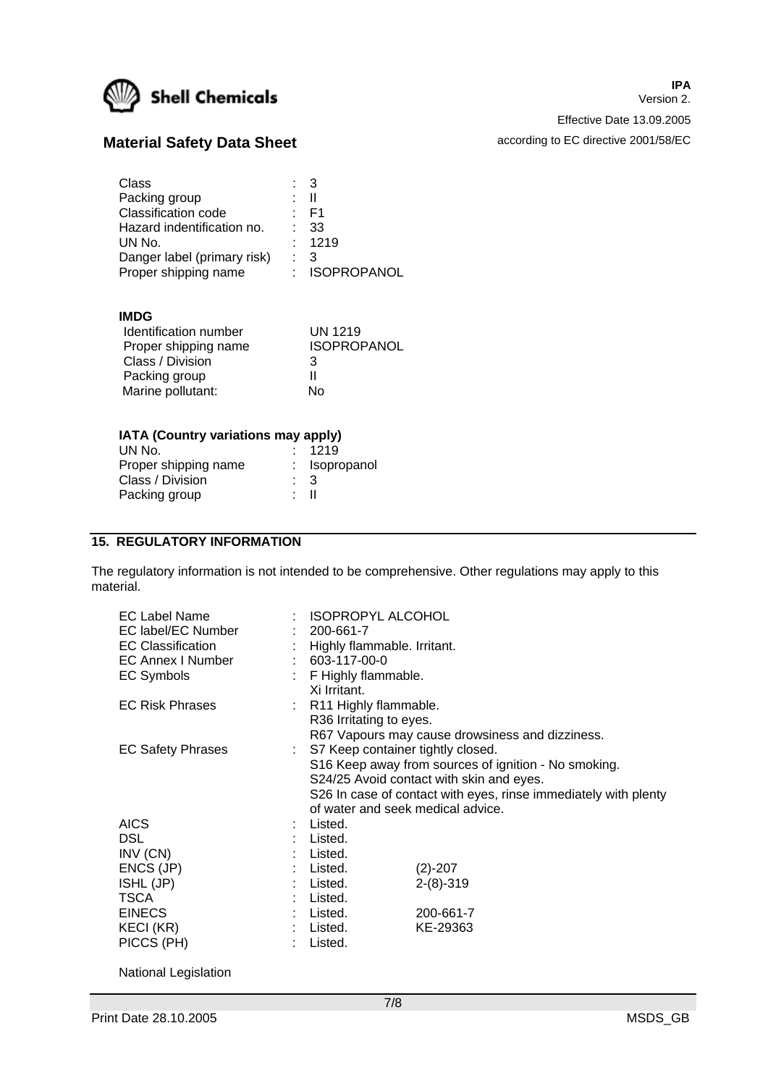

**IPA** Version 2. Effective Date 13.09.2005

# **Material Safety Data Sheet according to EC directive 2001/58/EC**

| Class<br>Packing group<br>Classification code<br>Hazard indentification no.<br>UN No.<br>Danger label (primary risk) | $\therefore$ 3<br>• II<br>· F1<br>-33<br>: 1219<br>3 |
|----------------------------------------------------------------------------------------------------------------------|------------------------------------------------------|
| Proper shipping name                                                                                                 | : ISOPROPANOL                                        |

#### **IMDG**

| Identification number | UN 1219            |
|-----------------------|--------------------|
| Proper shipping name  | <b>ISOPROPANOL</b> |
| Class / Division      | 3                  |
| Packing group         | н                  |
| Marine pollutant:     | Nο                 |

#### **IATA (Country variations may apply)**

|      | : 1219         |
|------|----------------|
|      | : Isopropanol  |
|      | $\therefore$ 3 |
| * II |                |
|      |                |

## **15. REGULATORY INFORMATION**

The regulatory information is not intended to be comprehensive. Other regulations may apply to this material.

| EC Label Name            | : ISOPROPYL ALCOHOL                 |                                                                 |
|--------------------------|-------------------------------------|-----------------------------------------------------------------|
| EC label/EC Number       | $: 200 - 661 - 7$                   |                                                                 |
| <b>EC Classification</b> | Highly flammable. Irritant.         |                                                                 |
| <b>EC Annex I Number</b> | $: 603-117-00-0$                    |                                                                 |
| <b>EC Symbols</b>        | F Highly flammable.                 |                                                                 |
|                          | Xi Irritant.                        |                                                                 |
| <b>EC Risk Phrases</b>   | : R11 Highly flammable.             |                                                                 |
|                          | R36 Irritating to eyes.             |                                                                 |
|                          |                                     | R67 Vapours may cause drowsiness and dizziness.                 |
| <b>EC Safety Phrases</b> | : S7 Keep container tightly closed. |                                                                 |
|                          |                                     | S16 Keep away from sources of ignition - No smoking.            |
|                          |                                     | S24/25 Avoid contact with skin and eyes.                        |
|                          |                                     | S26 In case of contact with eyes, rinse immediately with plenty |
|                          | of water and seek medical advice.   |                                                                 |
| <b>AICS</b>              | : Listed.                           |                                                                 |
| <b>DSL</b>               | Listed.                             |                                                                 |
| INV (CN)                 | Listed.                             |                                                                 |
| ENCS (JP)                | Listed.                             | $(2)-207$                                                       |
| ISHL (JP)                | Listed.                             | $2-(8)-319$                                                     |
| <b>TSCA</b>              | Listed.                             |                                                                 |
| <b>EINECS</b>            | Listed.                             | 200-661-7                                                       |
| KECI (KR)                | Listed.                             | KE-29363                                                        |
| PICCS (PH)               | Listed.                             |                                                                 |
|                          |                                     |                                                                 |

National Legislation